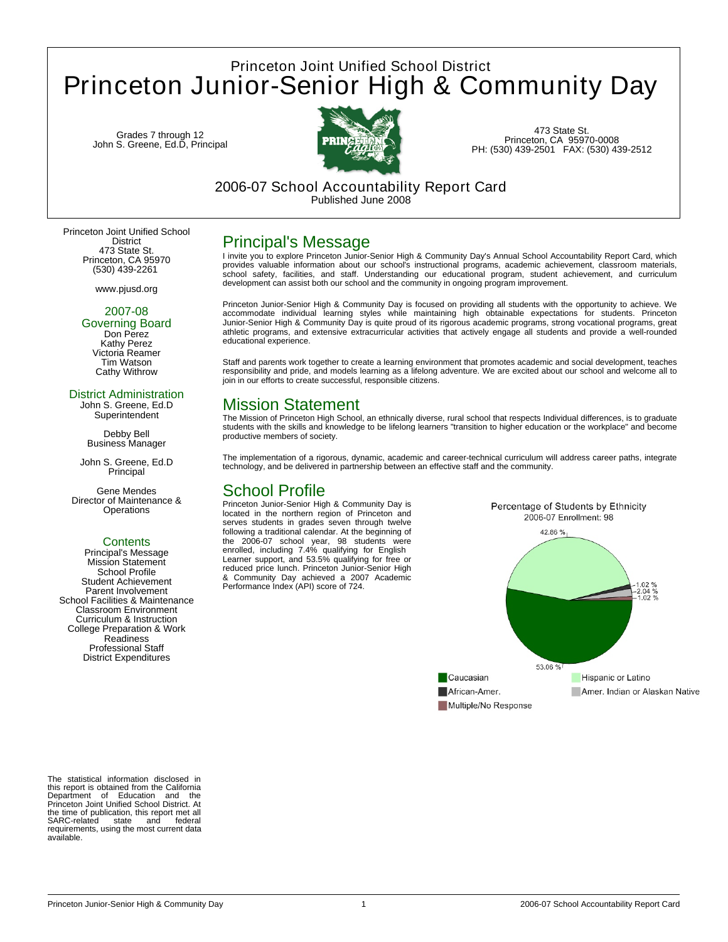# Princeton Joint Unified School District Princeton Junior-Senior High & Community Day

Grades 7 through 12 John S. Greene, Ed.D, Principal



473 State St. Princeton, CA 95970-0008 PH: (530) 439-2501 FAX: (530) 439-2512

### 2006-07 School Accountability Report Card Published June 2008

Princeton Joint Unified School District 473 State St. Princeton, CA 95970 (530) 439-2261

www.pjusd.org

### 2007-08

Governing Board Don Perez Kathy Perez Victoria Reamer Tim Watson Cathy Withrow

#### District Administration

John S. Greene, Ed.D **Superintendent** 

Debby Bell Business Manager

John S. Greene, Ed.D **Principal** 

Gene Mendes Director of Maintenance & **Operations** 

#### **Contents**

Principal's Message Mission Statement School Profile Student Achievement Parent Involvement School Facilities & Maintenance Classroom Environment Curriculum & Instruction College Preparation & Work Readiness Professional Staff District Expenditures

The statistical information disclosed in this report is obtained from the California Department of Education and the Princeton Joint Unified School District. At the time of publication, this report met all SARC-related state and federal requirements, using the most current data available.

## Principal's Message

I invite you to explore Princeton Junior-Senior High & Community Day's Annual School Accountability Report Card, which provides valuable information about our school's instructional programs, academic achievement, classroom materials, school safety, facilities, and staff. Understanding our educational program, student achievement, and curriculum<br>development canassist both our school and the community in ongoing program improvement.

Princeton Junior-Senior High & Community Day is focused on providing all students with the opportunity to achieve. We accommodate individual learning styles while maintaining high obtainable expectations for students. Princeton Junior-Senior High & Community Day is quite proud of its rigorous academic programs, strong vocational programs, great athletic programs, and extensive extracurricular activities that actively engage all students and provide a well-rounded educational experience.

Staff and parents work together to create a learning environment that promotes academic and social development, teaches<br>responsibility and pride, and models learning as a lifelong adventure. We are excited about our school join in our efforts to create successful, responsible citizens.

## Mission Statement

The Mission of Princeton High School, an ethnically diverse, rural school that respects Individual differences, is to graduate students with the skills and knowledge to be lifelong learners "transition to higher education or the workplace" and become productive members of society.

The implementation of a rigorous, dynamic, academic and career-technical curriculum will address career paths, integrate technology, and be delivered in partnership between an effective staff and the community.

## School Profile

Princeton Junior-Senior High & Community Day is located in the northern region of Princeton and serves students in grades seven through twelve following a traditional calendar. At the beginning of the 2006-07 school year, 98 students were enrolled, including 7.4% qualifying for English Learner support, and 53.5% qualifying for free or reduced price lunch. Princeton Junior-Senior High & Community Day achieved a 2007 Academic Performance Index (API) score of 724.

Percentage of Students by Ethnicity 2006-07 Enrollment: 98 42.86% 1.02 %<br>-2.04 %<br>-1.02 % 53.06 % Caucasian **Hispanic or Latino** African-Amer. Amer, Indian or Alaskan Native Multiple/No Response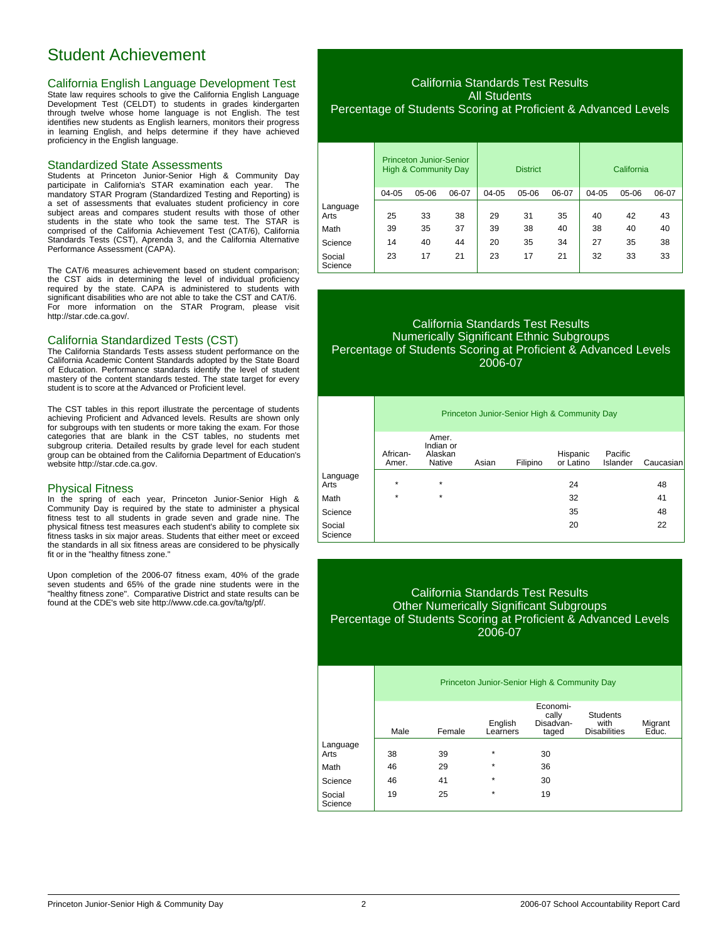## Student Achievement

#### California English Language Development Test

State law requires schools to give the California English Language Development Test (CELDT) to students in grades kindergarten through twelve whose home language is not English. The test identifies new students as English learners, monitors their progress in learning English, and helps determine if they have achieved proficiency in the English language.

#### Standardized State Assessments

Students at Princeton Junior-Senior High & Community Day participate in California's STAR examination each year. mandatory STAR Program (Standardized Testing and Reporting) is a set of assessments that evaluates student proficiency in core subject areas and compares student results with those of other students in the state who took the same test. The STAR is comprised of the California Achievement Test (CAT/6), California Standards Tests (CST), Aprenda 3, and the California Alternative Performance Assessment (CAPA).

The CAT/6 measures achievement based on student comparison; the CST aids in determining the level of individual proficiency required by the state. CAPA is administered to students with significant disabilities who are not able to take the CST and CAT/6. For more information on the STAR Program, please visit http://star.cde.ca.gov/.

#### California Standardized Tests (CST)

The California Standards Tests assess student performance on the California Academic Content Standards adopted by the State Board of Education. Performance standards identify the level of student mastery of the content standards tested. The state target for every student is to score at the Advanced or Proficient level.

The CST tables in this report illustrate the percentage of students achieving Proficient and Advanced levels. Results are shown only for subgroups with ten students or more taking the exam. For those categories that are blank in the CST tables, no students met subgroup criteria. Detailed results by grade level for each student group can be obtained from the California Department of Education's website http://star.cde.ca.gov.

#### Physical Fitness

In the spring of each year, Princeton Junior-Senior High & Community Day is required by the state to administer a physical fitness test to all students in grade seven and grade nine. The physical fitness test measures each student's ability to complete six fitness tasks in six major areas. Students that either meet or exceed the standards in all six fitness areas are considered to be physically fit or in the "healthy fitness zone."

Upon completion of the 2006-07 fitness exam, 40% of the grade seven students and 65% of the grade nine students were in the "healthy fitness zone". Comparative District and state results can be found at the CDE's web site http://www.cde.ca.gov/ta/tg/pf/.

#### California Standards Test Results All Students Percentage of Students Scoring at Proficient & Advanced Levels

|                   | Princeton Junior-Senior<br><b>High &amp; Community Day</b> |       | <b>District</b> |       |       | California |       |       |       |
|-------------------|------------------------------------------------------------|-------|-----------------|-------|-------|------------|-------|-------|-------|
|                   | 04-05                                                      | 05-06 | 06-07           | 04-05 | 05-06 | 06-07      | 04-05 | 05-06 | 06-07 |
| Language<br>Arts  | 25                                                         | 33    | 38              | 29    | 31    | 35         | 40    | 42    | 43    |
| Math              | 39                                                         | 35    | 37              | 39    | 38    | 40         | 38    | 40    | 40    |
| Science           | 14                                                         | 40    | 44              | 20    | 35    | 34         | 27    | 35    | 38    |
| Social<br>Science | 23                                                         | 17    | 21              | 23    | 17    | 21         | 32    | 33    | 33    |

#### California Standards Test Results Numerically Significant Ethnic Subgroups Percentage of Students Scoring at Proficient & Advanced Levels 2006-07

|                   | Princeton Junior-Senior High & Community Day |                                         |       |          |                       |                     |           |
|-------------------|----------------------------------------------|-----------------------------------------|-------|----------|-----------------------|---------------------|-----------|
|                   | African-<br>Amer.                            | Amer.<br>Indian or<br>Alaskan<br>Native | Asian | Filipino | Hispanic<br>or Latino | Pacific<br>Islander | Caucasian |
| Language<br>Arts  | $\star$                                      | $\star$                                 |       |          | 24                    |                     | 48        |
| Math              | $\star$                                      | $\star$                                 |       |          | 32                    |                     | 41        |
| Science           |                                              |                                         |       |          | 35                    |                     | 48        |
| Social<br>Science |                                              |                                         |       |          | 20                    |                     | 22        |

### California Standards Test Results Other Numerically Significant Subgroups Percentage of Students Scoring at Proficient & Advanced Levels 2006-07

|                   | Princeton Junior-Senior High & Community Day |        |                     |                                         |                                                |                  |
|-------------------|----------------------------------------------|--------|---------------------|-----------------------------------------|------------------------------------------------|------------------|
|                   | Male                                         | Female | English<br>Learners | Economi-<br>cally<br>Disadvan-<br>taged | <b>Students</b><br>with<br><b>Disabilities</b> | Migrant<br>Educ. |
| Language<br>Arts  | 38                                           | 39     | $\star$             | 30                                      |                                                |                  |
| Math              | 46                                           | 29     | $\star$             | 36                                      |                                                |                  |
| Science           | 46                                           | 41     | $\star$             | 30                                      |                                                |                  |
| Social<br>Science | 19                                           | 25     | $\star$             | 19                                      |                                                |                  |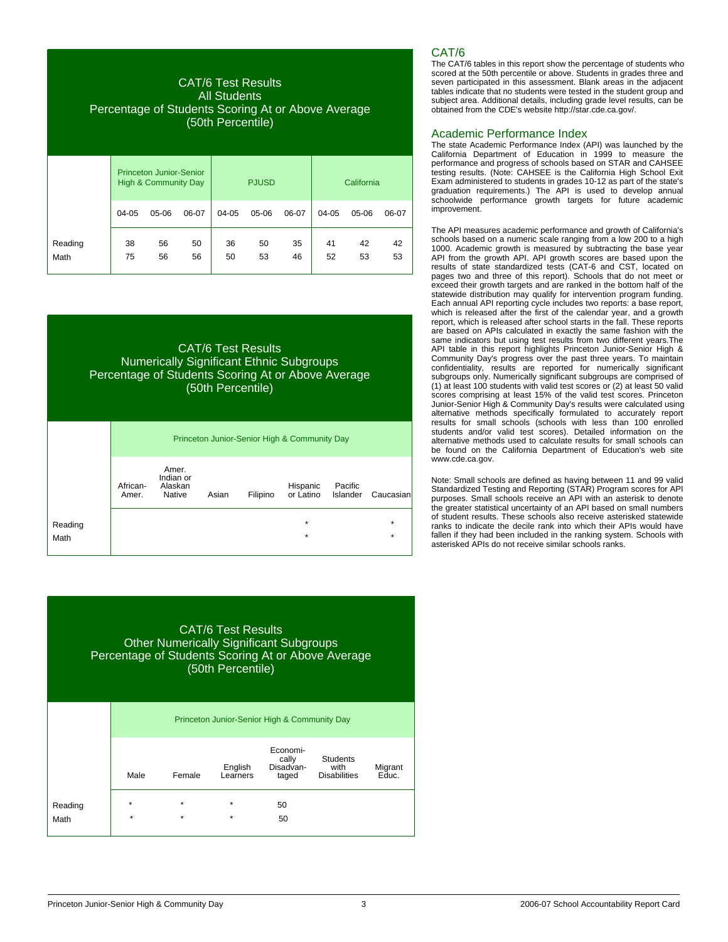# CAT/6 Test Results All Students Percentage of Students Scoring At or Above Average (50th Percentile) Princeton Junior-Senior High & Community Day | PJUSD | California 04-05 05-06 06-07 04-05 05-06 06-07 04-05 05-06 06-07 Reading 38 56 50 36 50 35 41 42 42 Math 75 56 56 50 53 46 52 53 53

### CAT/6 Test Results Numerically Significant Ethnic Subgroups Percentage of Students Scoring At or Above Average (50th Percentile)

|                 | Princeton Junior-Senior High & Community Day |                                         |       |          |                       |                     |                    |
|-----------------|----------------------------------------------|-----------------------------------------|-------|----------|-----------------------|---------------------|--------------------|
|                 | African-<br>Amer.                            | Amer.<br>Indian or<br>Alaskan<br>Native | Asian | Filipino | Hispanic<br>or Latino | Pacific<br>Islander | Caucasian          |
| Reading<br>Math |                                              |                                         |       |          | $\star$<br>$\star$    |                     | $\star$<br>$\star$ |

### CAT/6 Test Results Other Numerically Significant Subgroups Percentage of Students Scoring At or Above Average (50th Percentile)

|                 | Princeton Junior-Senior High & Community Day |                    |                     |                                         |                                                |                  |  |  |
|-----------------|----------------------------------------------|--------------------|---------------------|-----------------------------------------|------------------------------------------------|------------------|--|--|
|                 | Male                                         | Female             | English<br>Learners | Economi-<br>cally<br>Disadvan-<br>taged | <b>Students</b><br>with<br><b>Disabilities</b> | Migrant<br>Educ. |  |  |
| Reading<br>Math | $\star$<br>$\star$                           | $\star$<br>$\star$ | $\star$<br>$\star$  | 50<br>50                                |                                                |                  |  |  |

## CAT/6

The CAT/6 tables in this report show the percentage of students who scored at the 50th percentile or above. Students in grades three and seven participated in this assessment. Blank areas in the adjacent tables indicate that no students were tested in the student group and subject area. Additional details, including grade level results, can be obtained from the CDE's website http://star.cde.ca.gov/.

### Academic Performance Index

The state Academic Performance Index (API) was launched by the California Department of Education in 1999 to measure the performance and progress of schools based on STAR and CAHSEE testing results. (Note: CAHSEE is the California High School Exit Exam administered to students in grades 10-12 as part of the state's graduation requirements.) The API is used to develop annual schoolwide performance growth targets for future academic improvement.

The API measures academic performance and growth of California's schools based on a numeric scale ranging from a low 200 to a high 1000. Academic growth is measured by subtracting the base year API from the growth API. API growth scores are based upon the results of state standardized tests (CAT-6 and CST, located on pages two and three of this report). Schools that do not meet or exceed their growth targets and are ranked in the bottom half of the statewide distribution may qualify for intervention program funding. Each annual API reporting cycle includes two reports: a base report, which is released after the first of the calendar year, and a growth report, which is released after school starts in the fall. These reports are based on APIs calculated in exactly the same fashion with the same indicators but using test results from two different years.The API table in this report highlights Princeton Junior-Senior High & Community Day's progress over the past three years. To maintain confidentiality, results are reported for numerically significant subgroups only. Numerically significant subgroups are comprised of (1) at least 100 students with valid test scores or (2) at least 50 valid scores comprising at least 15% of the valid test scores. Princeton Junior-Senior High & Community Day's results were calculated using alternative methods specifically formulated to accurately report results for small schools (schools with less than 100 enrolled students and/or valid test scores). Detailed information on the alternative methods used to calculate results for small schools can be found on the California Department of Education's web site www.cde.ca.gov.

Note: Small schools are defined as having between 11 and 99 valid Standardized Testing and Reporting (STAR) Program scores for API purposes. Small schools receive an API with an asterisk to denote the greater statistical uncertainty of an API based on small numbers of student results. These schools also receive asterisked statewide ranks to indicate the decile rank into which their APIs would have fallen if they had been included in the ranking system. Schools with asterisked APIs do not receive similar schools ranks.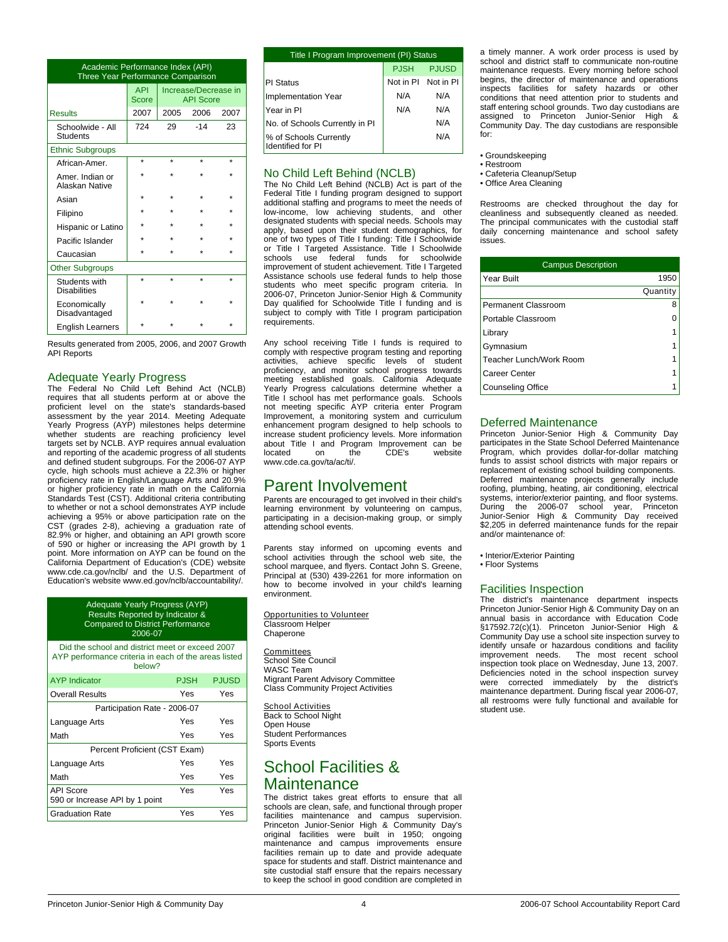| Academic Performance Index (API)<br>Three Year Performance Comparison |                     |                                          |                             |      |  |  |
|-----------------------------------------------------------------------|---------------------|------------------------------------------|-----------------------------|------|--|--|
|                                                                       | <b>API</b><br>Score | Increase/Decrease in<br><b>API Score</b> |                             |      |  |  |
| <b>Results</b>                                                        | 2007                | 2005                                     | 2006                        | 2007 |  |  |
| Schoolwide - All<br>Students                                          | 724                 | 29                                       | $-14$                       | 23   |  |  |
| <b>Ethnic Subgroups</b>                                               |                     |                                          |                             |      |  |  |
| African-Amer.                                                         | ÷                   | ÷                                        | ÷                           | ÷    |  |  |
| Amer. Indian or<br>Alaskan Native                                     |                     |                                          |                             |      |  |  |
| Asian                                                                 | ÷                   | ÷                                        |                             |      |  |  |
| Filipino                                                              |                     |                                          |                             |      |  |  |
| Hispanic or Latino                                                    |                     |                                          |                             |      |  |  |
| Pacific Islander                                                      |                     |                                          |                             |      |  |  |
| Caucasian                                                             | ٠                   |                                          |                             |      |  |  |
| <b>Other Subgroups</b>                                                |                     |                                          |                             |      |  |  |
| Students with<br><b>Disabilities</b>                                  | ÷                   | $\star$                                  | ÷                           | ÷    |  |  |
| Economically<br>Disadvantaged                                         |                     |                                          |                             |      |  |  |
| <b>English Learners</b>                                               |                     |                                          |                             |      |  |  |
|                                                                       |                     |                                          | $\sim$ $\sim$ $\sim$ $\sim$ |      |  |  |

Results generated from 2005, 2006, and 2007 Growth API Reports

### Adequate Yearly Progress

The Federal No Child Left Behind Act (NCLB) requires that all students perform at or above the proficient level on the state's standards-based assessment by the year 2014. Meeting Adequate Yearly Progress (AYP) milestones helps determine whether students are reaching proficiency level targets set by NCLB. AYP requires annual evaluation and reporting of the academic progress of all students and defined student subgroups. For the 2006-07 AYP cycle, high schools must achieve a 22.3% or higher proficiency rate in English/Language Arts and 20.9% or higher proficiency rate in math on the California Standards Test (CST). Additional criteria contributing to whether or not a school demonstrates AYP include achieving a 95% or above participation rate on the CST (grades 2-8), achieving a graduation rate of 82.9% or higher, and obtaining an API growth score of 590 or higher or increasing the API growth by 1 point. More information on AYP can be found on the California Department of Education's (CDE) website www.cde.ca.gov/nclb/ and the U.S. Department of Education's website www.ed.gov/nclb/accountability/.

> Adequate Yearly Progress (AYP) Results Reported by Indicator & Compared to District Performance 2006-07

Did the school and district meet or exceed 2007 AYP performance criteria in each of the areas listed below?

| <b>AYP</b> Indicator                               | <b>PJSH</b> | <b>PJUSD</b> |
|----------------------------------------------------|-------------|--------------|
| <b>Overall Results</b>                             | Yes         | Yes          |
| Participation Rate - 2006-07                       |             |              |
| Language Arts                                      | Yes         | Yes          |
| Math                                               | Yes         | Yes          |
| Percent Proficient (CST Exam)                      |             |              |
| Language Arts                                      | Yes         | Yes          |
| Math                                               | Yes         | Yes          |
| <b>API Score</b><br>590 or Increase API by 1 point | Yes         | Yes          |
| <b>Graduation Rate</b>                             | Yes         | Yes          |

| Title I Program Improvement (PI) Status            |                     |              |  |  |
|----------------------------------------------------|---------------------|--------------|--|--|
|                                                    | <b>PJSH</b>         | <b>PJUSD</b> |  |  |
| PI Status                                          | Not in PI Not in PI |              |  |  |
| <b>Implementation Year</b>                         | N/A                 | N/A          |  |  |
| Year in PI                                         | N/A                 | N/A          |  |  |
| No. of Schools Currently in PI                     |                     | N/A          |  |  |
| % of Schools Currently<br><b>Identified for PI</b> |                     | N/A          |  |  |

#### No Child Left Behind (NCLB)

The No Child Left Behind (NCLB) Act is part of the Federal Title I funding program designed to support additional staffing and programs to meet the needs of low-income, low achieving students, and other designated students with special needs. Schools may apply, based upon their student demographics, for one of two types of Title I funding: Title I Schoolwide or Title I Targeted Assistance. Title I Schoolwide schools use federal funds for schoolwide improvement of student achievement. Title I Targeted Assistance schools use federal funds to help those students who meet specific program criteria. In 2006-07, Princeton Junior-Senior High & Community Day qualified for Schoolwide Title I funding and is subject to comply with Title I program participation requirements.

Any school receiving Title I funds is required to comply with respective program testing and reporting activities, achieve specific levels of student proficiency, and monitor school progress towards meeting established goals. California Adequate Yearly Progress calculations determine whether a Title I school has met performance goals. Schools not meeting specific AYP criteria enter Program Improvement, a monitoring system and curriculum enhancement program designed to help schools to increase student proficiency levels. More information about Title I and Program Improvement can be located on the CDE's website www.cde.ca.gov/ta/ac/ti/.

## Parent Involvement

Parents are encouraged to get involved in their child's learning environment by volunteering on campus, participating in a decision-making group, or simply attending school events.

Parents stay informed on upcoming events and school activities through the school web site, the school marquee, and flyers. Contact John S. Greene. Principal at (530) 439-2261 for more information on how to become involved in your child's learning environment.

Opportunities to Volunteer Classroom Helper **Chaperone** 

Committees School Site Council WASC Team Migrant Parent Advisory Committee Class Community Project Activities

**School Activities** Back to School Night Open House Student Performances Sports Events

## School Facilities & **Maintenance**

The district takes great efforts to ensure that all schools are clean, safe, and functional through proper facilities maintenance and campus supervision. Princeton Junior-Senior High & Community Day's original facilities were built in 1950; ongoing maintenance and campus improvements ensure facilities remain up to date and provide adequate space for students and staff. District maintenance and site custodial staff ensure that the repairs necessary to keep the school in good condition are completed in

a timely manner. A work order process is used by school and district staff to communicate non-routine maintenance requests. Every morning before school begins, the director of maintenance and operations inspects facilities for safety hazards or other conditions that need attention prior to students and staff entering school grounds. Two day custodians are assigned to Princeton Junior-Senior High & Community Day. The day custodians are responsible for:

- Groundskeeping
- Restroom
- Cafeteria Cleanup/Setup
- Office Area Cleaning

Restrooms are checked throughout the day for cleanliness and subsequently cleaned as needed. The principal communicates with the custodial staff daily concerning maintenance and school safety issues.

| <b>Campus Description</b> |          |  |  |  |
|---------------------------|----------|--|--|--|
| Year Built                | 1950     |  |  |  |
|                           | Quantity |  |  |  |
| Permanent Classroom       | 8        |  |  |  |
| Portable Classroom        |          |  |  |  |
| Library                   |          |  |  |  |
| Gymnasium                 | 1        |  |  |  |
| Teacher Lunch/Work Room   |          |  |  |  |
| Career Center             |          |  |  |  |
| <b>Counseling Office</b>  |          |  |  |  |

#### Deferred Maintenance

Princeton Junior-Senior High & Community Day participates in the State School Deferred Maintenance Program, which provides dollar-for-dollar matching funds to assist school districts with major repairs or replacement of existing school building components. Deferred maintenance projects generally include roofing, plumbing, heating, air conditioning, electrical systems, interior/exterior painting, and floor systems. During the 2006-07 school year, Princeton Junior-Senior High & Community Day received \$2,205 in deferred maintenance funds for the repair and/or maintenance of:

• Interior/Exterior Painting • Floor Systems

#### Facilities Inspection

The district's maintenance department inspects Princeton Junior-Senior High & Community Day on an annual basis in accordance with Education Code §17592.72(c)(1). Princeton Junior-Senior High & Community Day use a school site inspection survey to identify unsafe or hazardous conditions and facility The most recent school inspection took place on Wednesday, June 13, 2007. Deficiencies noted in the school inspection survey were corrected immediately by the district's maintenance department. During fiscal year 2006-07, all restrooms were fully functional and available for student use.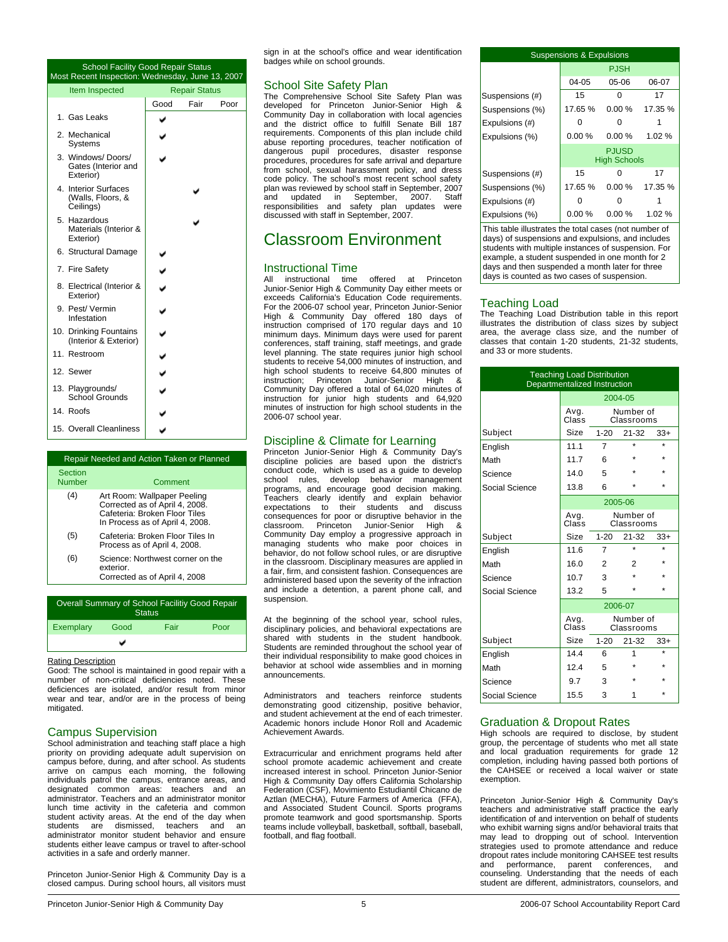| <b>School Facility Good Repair Status</b><br>Most Recent Inspection: Wednesday, June 13, 2007 |      |                      |      |  |
|-----------------------------------------------------------------------------------------------|------|----------------------|------|--|
| Item Inspected                                                                                |      | <b>Repair Status</b> |      |  |
|                                                                                               | Good | Fair                 | Poor |  |
| 1. Gas Leaks                                                                                  |      |                      |      |  |
| 2. Mechanical<br>Systems                                                                      |      |                      |      |  |
| 3. Windows/Doors/<br>Gates (Interior and<br>Exterior)                                         |      |                      |      |  |
| 4. Interior Surfaces<br>(Walls, Floors, &<br>Ceilings)                                        |      |                      |      |  |
| 5. Hazardous<br>Materials (Interior &<br>Exterior)                                            |      |                      |      |  |
| 6. Structural Damage                                                                          |      |                      |      |  |
| 7. Fire Safety                                                                                |      |                      |      |  |
| 8. Electrical (Interior &<br>Exterior)                                                        |      |                      |      |  |
| 9. Pest/Vermin<br>Infestation                                                                 |      |                      |      |  |
| 10. Drinking Fountains<br>(Interior & Exterior)                                               |      |                      |      |  |
| 11. Restroom                                                                                  |      |                      |      |  |
| 12. Sewer                                                                                     |      |                      |      |  |
| 13. Playgrounds/<br><b>School Grounds</b>                                                     |      |                      |      |  |
| 14. Roofs                                                                                     |      |                      |      |  |
| 15. Overall Cleanliness                                                                       |      |                      |      |  |

|                   | Repair Needed and Action Taken or Planned                                                                                         |  |  |  |  |
|-------------------|-----------------------------------------------------------------------------------------------------------------------------------|--|--|--|--|
| Section<br>Number | Comment                                                                                                                           |  |  |  |  |
| (4)               | Art Room: Wallpaper Peeling<br>Corrected as of April 4, 2008.<br>Cafeteria: Broken Floor Tiles<br>In Process as of April 4, 2008. |  |  |  |  |
| (5)               | Cafeteria: Broken Floor Tiles In<br>Process as of April 4, 2008.                                                                  |  |  |  |  |
| (6)               | Science: Northwest corner on the<br>exterior<br>Corrected as of April 4, 2008                                                     |  |  |  |  |
|                   |                                                                                                                                   |  |  |  |  |

| Overall Summary of School Facilitiy Good Repair<br><b>Status</b> |      |      |      |  |  |
|------------------------------------------------------------------|------|------|------|--|--|
| Exemplary                                                        | Good | Fair | Poor |  |  |
|                                                                  | پ    |      |      |  |  |

#### Rating Description

Good: The school is maintained in good repair with a number of non-critical deficiencies noted. These deficiences are isolated, and/or result from minor wear and tear, and/or are in the process of being mitigated.

#### Campus Supervision

School administration and teaching staff place a high priority on providing adequate adult supervision on campus before, during, and after school. As students arrive on campus each morning, the following individuals patrol the campus, entrance areas, and designated common areas: teachers and an administrator. Teachers and an administrator monitor lunch time activity in the cafeteria and common student activity areas. At the end of the day when students are dismissed, teachers and an administrator monitor student behavior and ensure students either leave campus or travel to after-school activities in a safe and orderly manner.

Princeton Junior-Senior High & Community Day is a closed campus. During school hours, all visitors must sign in at the school's office and wear identification badges while on school grounds.

#### School Site Safety Plan

The Comprehensive School Site Safety Plan was developed for Princeton Junior-Senior High & Community Day in collaboration with local agencies and the district office to fulfill Senate Bill 187 requirements. Components of this plan include child abuse reporting procedures, teacher notification of dangerous pupil procedures, disaster response procedures, procedures for safe arrival and departure from school, sexual harassment policy, and dress code policy. The school's most recent school safety plan was reviewed by school staff in September, 2007 and updated in September, 2007. Staff responsibilities and safety plan updates were discussed with staff in September, 2007.

### Classroom Environment

#### Instructional Time

All instructional time offered at Princeton Junior-Senior High & Community Day either meets or exceeds California's Education Code requirements. For the 2006-07 school year, Princeton Junior-Senior High & Community Day offered 180 days of instruction comprised of 170 regular days and 10 minimum days. Minimum days were used for parent conferences, staff training, staff meetings, and grade level planning. The state requires junior high school students to receive 54,000 minutes of instruction, and high school students to receive 64,800 minutes of instruction; Princeton Junior-Senior High & Community Day offered a total of 64,020 minutes of instruction for junior high students and 64,920 minutes of instruction for high school students in the 2006-07 school year.

#### Discipline & Climate for Learning

Princeton Junior-Senior High & Community Day's discipline policies are based upon the district's conduct code, which is used as a guide to develop school rules, develop behavior management programs, and encourage good decision making. Teachers clearly identify and explain behavior expectations to their students and discuss consequences for poor or disruptive behavior in the classroom. Princeton Junior-Senior High & Community Day employ a progressive approach in managing students who make poor choices in behavior, do not follow school rules, or are disruptive in the classroom. Disciplinary measures are applied in a fair, firm, and consistent fashion. Consequences are administered based upon the severity of the infraction and include a detention, a parent phone call, and suspension.

At the beginning of the school year, school rules, disciplinary policies, and behavioral expectations are shared with students in the student handbook. Students are reminded throughout the school year of their individual responsibility to make good choices in behavior at school wide assemblies and in morning announcements.

Administrators and teachers reinforce students demonstrating good citizenship, positive behavior, and student achievement at the end of each trimester. Academic honors include Honor Roll and Academic Achievement Awards.

Extracurricular and enrichment programs held after school promote academic achievement and create increased interest in school. Princeton Junior-Senior High & Community Day offers California Scholarship Federation (CSF), Movimiento Estudiantil Chicano de Aztlan (MECHA), Future Farmers of America (FFA), and Associated Student Council. Sports programs promote teamwork and good sportsmanship. Sports teams include volleyball, basketball, softball, baseball, football, and flag football.

| <b>Suspensions &amp; Expulsions</b> |                                     |             |         |  |  |
|-------------------------------------|-------------------------------------|-------------|---------|--|--|
|                                     |                                     | <b>PJSH</b> |         |  |  |
|                                     | $04 - 05$                           | $05-06$     | 06-07   |  |  |
| Suspensions (#)                     | 15                                  | ŋ           | 17      |  |  |
| Suspensions (%)                     | 17.65%                              | 0.00%       | 17.35 % |  |  |
| Expulsions (#)                      | Ω                                   | Ω           |         |  |  |
| Expulsions (%)                      | 0.00%                               | 0.00%       | 1.02 %  |  |  |
|                                     | <b>PJUSD</b><br><b>High Schools</b> |             |         |  |  |
| Suspensions (#)                     | 15                                  | n           | 17      |  |  |
| Suspensions (%)                     | 17.65 %                             | 0.00%       | 17.35 % |  |  |
| Expulsions (#)                      |                                     |             |         |  |  |
| Expulsions (%)                      | 0.00%                               | 0.00 %      | 1.02%   |  |  |

This table illustrates the total cases (not number of days) of suspensions and expulsions, and includes students with multiple instances of suspension. For example, a student suspended in one month for 2 days and then suspended a month later for three days is counted as two cases of suspension.

#### Teaching Load

The Teaching Load Distribution table in this report illustrates the distribution of class sizes by subject area, the average class size, and the number of classes that contain 1-20 students, 21-32 students, and 33 or more students.

| <b>Teaching Load Distribution</b><br>Departmentalized Instruction |                                          |                |                         |       |
|-------------------------------------------------------------------|------------------------------------------|----------------|-------------------------|-------|
|                                                                   | 2004-05                                  |                |                         |       |
|                                                                   | Avg.<br>Class                            |                | Number of<br>Classrooms |       |
| Subject                                                           | Size                                     | $1 - 20$       | 21-32                   | $33+$ |
| English                                                           | 11.1                                     | $\overline{7}$ | ÷                       |       |
| Math                                                              | 11.7                                     | 6              |                         |       |
| Science                                                           | 14.0                                     | 5              |                         |       |
| Social Science                                                    | 13.8                                     | 6              |                         |       |
|                                                                   |                                          |                | 2005-06                 |       |
|                                                                   | Number of<br>Avg.<br>Class<br>Classrooms |                |                         |       |
| Subject                                                           | Size                                     | $1 - 20$       | $21 - 32$               | $33+$ |
| English                                                           | 11.6                                     | $\overline{7}$ | $\star$                 |       |
| Math                                                              | 16.0                                     | 2              | 2                       |       |
| Science                                                           | 10.7                                     | 3              |                         |       |
| Social Science                                                    | 13.2                                     | 5              |                         |       |
|                                                                   |                                          |                | 2006-07                 |       |
|                                                                   | Number of<br>Avg.<br>Clašs<br>Classrooms |                |                         |       |
| Subject                                                           | Size                                     | $1 - 20$       | $21 - 32$               | $33+$ |
| English                                                           | 144                                      | 6              | 1                       | ÷     |
| Math                                                              | 12.4                                     | 5              |                         |       |
| Science                                                           | 9.7                                      | 3              |                         |       |
| Social Science                                                    | 15.5                                     | 3              | 1                       |       |

#### Graduation & Dropout Rates

High schools are required to disclose, by student group, the percentage of students who met all state and local graduation requirements for grade 12 completion, including having passed both portions of the CAHSEE or received a local waiver or state exemption.

Princeton Junior-Senior High & Community Day's teachers and administrative staff practice the early identification of and intervention on behalf of students who exhibit warning signs and/or behavioral traits that may lead to dropping out of school. Intervention strategies used to promote attendance and reduce dropout rates include monitoring CAHSEE test results and performance, parent conferences, and counseling. Understanding that the needs of each student are different, administrators, counselors, and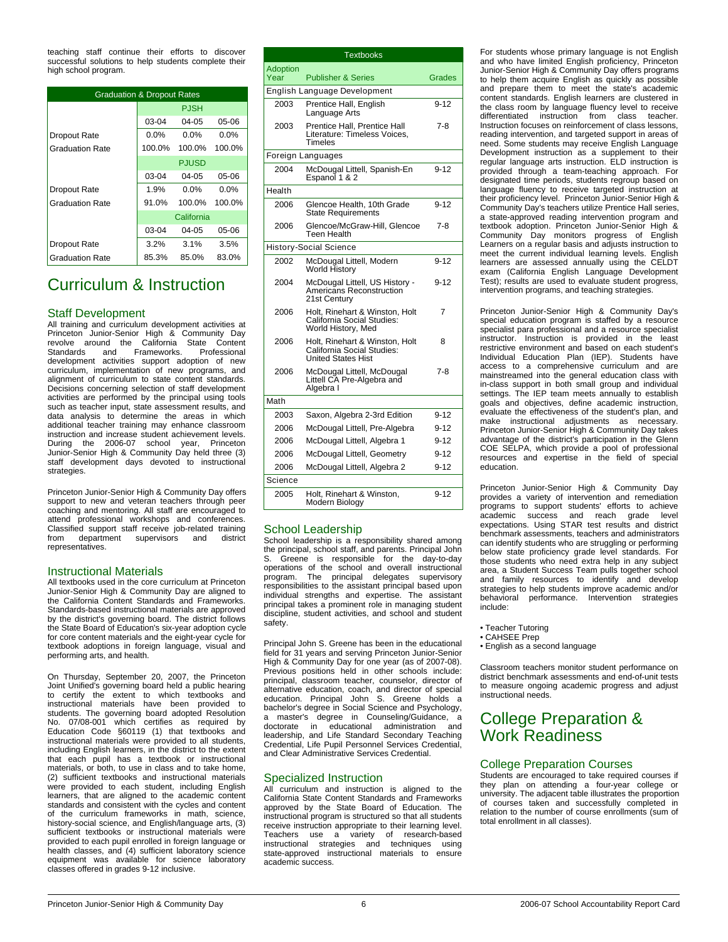teaching staff continue their efforts to discover successful solutions to help students complete their high school program.

| <b>Graduation &amp; Dropout Rates</b> |            |              |         |  |  |
|---------------------------------------|------------|--------------|---------|--|--|
|                                       |            | <b>PJSH</b>  |         |  |  |
|                                       | 03-04      | $04-05$      | 05-06   |  |  |
| <b>Dropout Rate</b>                   | $0.0\%$    | $0.0\%$      | $0.0\%$ |  |  |
| <b>Graduation Rate</b>                | 100.0%     | 100.0%       | 100.0%  |  |  |
|                                       |            | <b>PJUSD</b> |         |  |  |
|                                       | 03-04      | $04-05$      | 05-06   |  |  |
| <b>Dropout Rate</b>                   | 1.9%       | $0.0\%$      | $0.0\%$ |  |  |
| <b>Graduation Rate</b>                | 91.0%      | 100.0%       | 100.0%  |  |  |
|                                       | California |              |         |  |  |
|                                       | 03-04      | $04-05$      | 05-06   |  |  |
| <b>Dropout Rate</b>                   | $3.2\%$    | 3.1%         | 3.5%    |  |  |
| <b>Graduation Rate</b>                | 85.3%      | 85.0%        | 83.0%   |  |  |

## Curriculum & Instruction

#### Staff Development

All training and curriculum development activities at Princeton Junior-Senior High & Community Day revolve around the California State Content Standards and Frameworks. Professional development activities support adoption of new curriculum, implementation of new programs, and alignment of curriculum to state content standards. Decisions concerning selection of staff development activities are performed by the principal using tools such as teacher input, state assessment results, and data analysis to determine the areas in which additional teacher training may enhance classroom instruction and increase student achievement levels. During the 2006-07 school year, Princeton Junior-Senior High & Community Day held three (3) staff development days devoted to instructional strategies.

Princeton Junior-Senior High & Community Day offers support to new and veteran teachers through peer coaching and mentoring. All staff are encouraged to attend professional workshops and conferences. Classified support staff receive job-related training<br>from department supervisors and district from department supervisors and district representatives.

#### Instructional Materials

All textbooks used in the core curriculum at Princeton Junior-Senior High & Community Day are aligned to the California Content Standards and Frameworks. Standards-based instructional materials are approved by the district's governing board. The district follows the State Board of Education's six-year adoption cycle for core content materials and the eight-year cycle for textbook adoptions in foreign language, visual and performing arts, and health.

On Thursday, September 20, 2007, the Princeton Joint Unified's governing board held a public hearing to certify the extent to which textbooks and instructional materials have been provided to students. The governing board adopted Resolution No. 07/08-001 which certifies as required by Education Code §60119 (1) that textbooks and instructional materials were provided to all students, including English learners, in the district to the extent that each pupil has a textbook or instructional materials, or both, to use in class and to take home, (2) sufficient textbooks and instructional materials were provided to each student, including English learners, that are aligned to the academic content standards and consistent with the cycles and content of the curriculum frameworks in math, science, history-social science, and English/language arts, (3) sufficient textbooks or instructional materials were provided to each pupil enrolled in foreign language or health classes, and (4) sufficient laboratory science equipment was available for science laboratory classes offered in grades 9-12 inclusive.

|                  | Textbooks                                                                                 |          |
|------------------|-------------------------------------------------------------------------------------------|----------|
| Adoption<br>Year | <b>Publisher &amp; Series</b>                                                             | Grades   |
|                  | English Language Development                                                              |          |
| 2003             | Prentice Hall, English<br>Language Arts                                                   | $9 - 12$ |
| 2003             | Prentice Hall, Prentice Hall<br>Literature: Timeless Voices,<br>Timeles                   | $7 - 8$  |
|                  | Foreign Languages                                                                         |          |
| 2004             | McDougal Littell, Spanish-En<br>Espanol 1 & 2                                             | $9 - 12$ |
| Health           |                                                                                           |          |
| 2006             | Glencoe Health, 10th Grade<br><b>State Requirements</b>                                   | $9 - 12$ |
| 2006             | Glencoe/McGraw-Hill, Glencoe<br>Teen Health                                               | 7-8      |
|                  | <b>History-Social Science</b>                                                             |          |
| 2002             | McDougal Littell, Modern<br><b>World History</b>                                          | $9 - 12$ |
| 2004             | McDougal Littell, US History -<br>Americans Reconstruction<br>21st Century                | $9 - 12$ |
| 2006             | Holt, Rinehart & Winston, Holt<br>California Social Studies:<br>World History, Med        | 7        |
| 2006             | Holt, Rinehart & Winston, Holt<br>California Social Studies:<br><b>United States Hist</b> | 8        |
| 2006             | McDougal Littell, McDougal<br>Littell CA Pre-Algebra and<br>Algebra I                     | $7 - 8$  |
| Math             |                                                                                           |          |
| 2003             | Saxon, Algebra 2-3rd Edition                                                              | $9 - 12$ |
| 2006             | McDougal Littell, Pre-Algebra                                                             | 9-12     |
| 2006             | McDougal Littell, Algebra 1                                                               | $9 - 12$ |
| 2006             | McDougal Littell, Geometry                                                                | $9 - 12$ |
| 2006             | McDougal Littell, Algebra 2                                                               | $9 - 12$ |
| Science          |                                                                                           |          |
| 2005             | Holt, Rinehart & Winston,<br>Modern Biology                                               | $9 - 12$ |

#### School Leadership

School leadership is a responsibility shared among the principal, school staff, and parents. Principal John Greene is responsible for the day-to-day operations of the school and overall instructional program. The principal delegates supervisory responsibilities to the assistant principal based upon individual strengths and expertise. The assistant principal takes a prominent role in managing student discipline, student activities, and school and student safety.

Principal John S. Greene has been in the educational field for 31 years and serving Princeton Junior-Senior High & Community Day for one year (as of 2007-08). Previous positions held in other schools include: principal, classroom teacher, counselor, director of alternative education, coach, and director of special education. Principal John S. Greene holds a<br>bachelor's degree in Social Science and Psychology,<br>a master's degree in Counseling/Guidance, a<br>doctorate in educational administration and leadership, and Life Standard Secondary Teaching Credential, Life Pupil Personnel Services Credential, and Clear Administrative Services Credential.

#### Specialized Instruction

All curriculum and instruction is aligned to the California State Content Standards and Frameworks approved by the State Board of Education. The instructional program is structured so that all students receive instruction appropriate to their learning level. Teachers use a variety of research-based instructional strategies and techniques using state-approved instructional materials to ensure academic success.

For students whose primary language is not English and who have limited English proficiency, Princeton Junior-Senior High & Community Day offers programs to help them acquire English as quickly as possible and prepare them to meet the state's academic content standards. English learners are clustered in the class room by language fluency level to receive differentiated instruction from class teacher. Instruction focuses on reinforcement of class lessons, reading intervention, and targeted support in areas of need. Some students may receive English Language Development instruction as a supplement to their regular language arts instruction. ELD instruction is provided through a team-teaching approach. For designated time periods, students regroup based on language fluency to receive targeted instruction at their proficiency level. Princeton Junior-Senior High & Community Day's teachers utilize Prentice Hall series, a state-approved reading intervention program and textbook adoption. Princeton Junior-Senior High & Community Day monitors progress of English Learners on a regular basis and adjusts instruction to meet the current individual learning levels. English learners are assessed annually using the CELDT exam (California English Language Development Test); results are used to evaluate student progress, intervention programs, and teaching strategies.

Princeton Junior-Senior High & Community Day's special education program is staffed by a resource specialist para professional and a resource specialist instructor. Instruction is provided in the least restrictive environment and based on each student's Individual Education Plan (IEP). Students have access to a comprehensive curriculum and are mainstreamed into the general education class with in-class support in both small group and individual settings. The IEP team meets annually to establish goals and objectives, define academic instruction, evaluate the effectiveness of the student's plan, and make instructional adjustments as necessary. Princeton Junior-Senior High & Community Day takes advantage of the district's participation in the Glenn COE SELPA, which provide a pool of professional resources and expertise in the field of special education.

Princeton Junior-Senior High & Community Day provides a variety of intervention and remediation programs to support students' efforts to achieve academic success and reach grade level expectations. Using STAR test results and district benchmark assessments, teachers and administrators can identify students who are struggling or performing below state proficiency grade level standards. For those students who need extra help in any subject area, a Student Success Team pulls together school and family resources to identify and develop strategies to help students improve academic and/or behavioral performance. Intervention strategies include:

- Teacher Tutoring
- CAHSEE Prep
- English as a second language

Classroom teachers monitor student performance on district benchmark assessments and end-of-unit tests to measure ongoing academic progress and adjust instructional needs.

## College Preparation & Work Readiness

#### College Preparation Courses

Students are encouraged to take required courses if they plan on attending a four-year college or university. The adjacent table illustrates the proportion of courses taken and successfully completed in relation to the number of course enrollments (sum of total enrollment in all classes).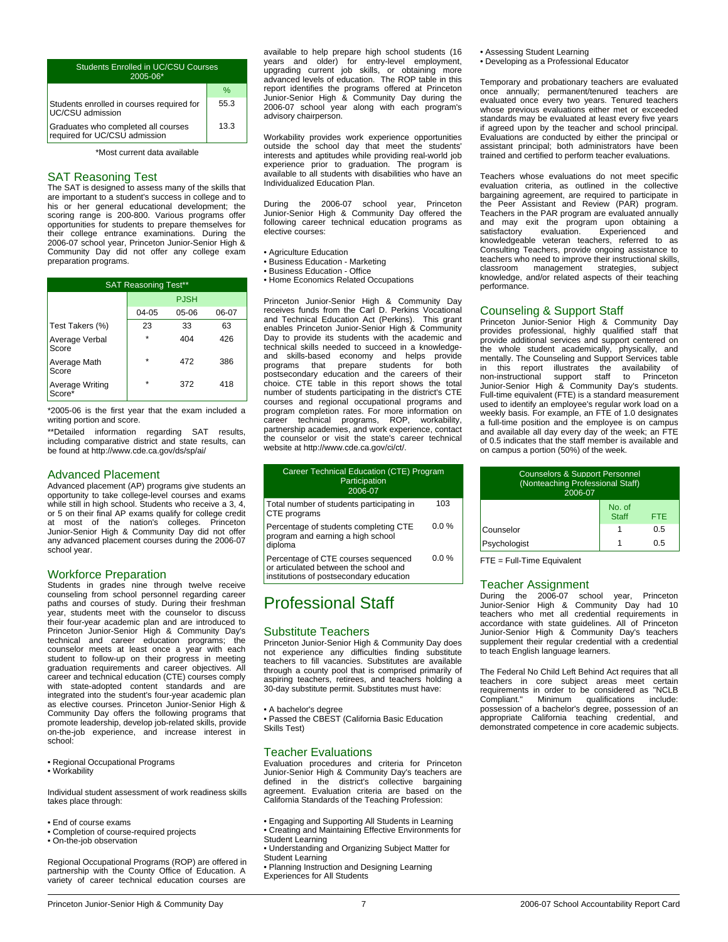| <b>Students Enrolled in UC/CSU Courses</b><br>$2005 - 06*$           |      |  |
|----------------------------------------------------------------------|------|--|
|                                                                      | $\%$ |  |
| Students enrolled in courses required for<br>UC/CSU admission        | 55.3 |  |
| Graduates who completed all courses<br>required for UC/CSU admission | 13.3 |  |

\*Most current data available

#### SAT Reasoning Test

The SAT is designed to assess many of the skills that are important to a student's success in college and to his or her general educational development; the scoring range is 200-800. Various programs offer opportunities for students to prepare themselves for their college entrance examinations. During the 2006-07 school year, Princeton Junior-Senior High & Community Day did not offer any college exam preparation programs.

| <b>SAT Reasoning Test**</b> |         |             |       |  |
|-----------------------------|---------|-------------|-------|--|
|                             |         | <b>PJSH</b> |       |  |
|                             | 04-05   | 05-06       | 06-07 |  |
| Test Takers (%)             | 23      | 33          | 63    |  |
| Average Verbal<br>Score     | ÷       | 404         | 426   |  |
| Average Math<br>Score       | ÷       | 472         | 386   |  |
| Average Writing<br>Score*   | $\star$ | 372         | 418   |  |

\*2005-06 is the first year that the exam included a writing portion and score.

\*\*Detailed information regarding SAT results, including comparative district and state results, can be found at http://www.cde.ca.gov/ds/sp/ai/

#### Advanced Placement

Advanced placement (AP) programs give students an opportunity to take college-level courses and exams while still in high school. Students who receive a 3, 4, or 5 on their final AP exams qualify for college credit at most of the nation's colleges. Princeton Junior-Senior High & Community Day did not offer any advanced placement courses during the 2006-07 school year.

#### Workforce Preparation

Students in grades nine through twelve receive counseling from school personnel regarding career paths and courses of study. During their freshman year, students meet with the counselor to discuss their four-year academic plan and are introduced to Princeton Junior-Senior High & Community Day's technical and career education programs; the counselor meets at least once a year with each student to follow-up on their progress in meeting graduation requirements and career objectives. All career and technical education (CTE) courses comply with state-adopted content standards and are integrated into the student's four-year academic plan as elective courses. Princeton Junior-Senior High & Community Day offers the following programs that promote leadership, develop job-related skills, provide on-the-job experience, and increase interest in school:

• Regional Occupational Programs

• Workability

Individual student assessment of work readiness skills takes place through:

- End of course exams
- Completion of course-required projects
- On-the-job observation

Regional Occupational Programs (ROP) are offered in partnership with the County Office of Education. A variety of career technical education courses are

available to help prepare high school students (16 years and older) for entry-level employment, upgrading current job skills, or obtaining more advanced levels of education. The ROP table in this report identifies the programs offered at Princeton Junior-Senior High & Community Day during the 2006-07 school year along with each program's advisory chairperson.

Workability provides work experience opportunities outside the school day that meet the students' interests and aptitudes while providing real-world job experience prior to graduation. The program is available to all students with disabilities who have an Individualized Education Plan.

During the 2006-07 school year, Princeton Junior-Senior High & Community Day offered the following career technical education programs as elective courses:

- Agriculture Education
- Business Education Marketing Business Education Office
- Home Economics Related Occupations

Princeton Junior-Senior High & Community Day receives funds from the Carl D. Perkins Vocational and Technical Education Act (Perkins). This grant enables Princeton Junior-Senior High & Community Day to provide its students with the academic and technical skills needed to succeed in a knowledgeand skills-based economy and helps provide programs that prepare students for both postsecondary education and the careers of their choice. CTE table in this report shows the total number of students participating in the district's CTE courses and regional occupational programs and program completion rates. For more information on career technical programs, ROP, workability, partnership academies, and work experience, contact the counselor or visit the state's career technical website at http://www.cde.ca.gov/ci/ct/.

| Career Technical Education (CTE) Program<br>Participation<br>2006-07                  |         |
|---------------------------------------------------------------------------------------|---------|
| Total number of students participating in<br>CTE programs                             | 103     |
| Percentage of students completing CTE<br>program and earning a high school<br>diploma | 0.0%    |
| Percentage of CTE courses sequenced                                                   | $0.0\%$ |

Percentage of CTE courses sequenced or articulated between the school and institutions of postsecondary education

## Professional Staff

#### Substitute Teachers

Princeton Junior-Senior High & Community Day does not experience any difficulties finding substitute teachers to fill vacancies. Substitutes are available through a county pool that is comprised primarily of aspiring teachers, retirees, and teachers holding a 30-day substitute permit. Substitutes must have:

• A bachelor's degree

• Passed the CBEST (California Basic Education Skills Test)

#### Teacher Evaluations

Evaluation procedures and criteria for Princeton Junior-Senior High & Community Day's teachers are defined in the district's collective bargaining agreement. Evaluation criteria are based on the California Standards of the Teaching Profession:

• Engaging and Supporting All Students in Learning • Creating and Maintaining Effective Environments for

- Student Learning
- Understanding and Organizing Subject Matter for
- 
- Student Learning Planning Instruction and Designing Learning
- Experiences for All Students

• Assessing Student Learning • Developing as a Professional Educator

Temporary and probationary teachers are evaluated once annually; permanent/tenured teachers are evaluated once every two years. Tenured teachers whose previous evaluations either met or exceeded standards may be evaluated at least every five years if agreed upon by the teacher and school principal. Evaluations are conducted by either the principal or assistant principal; both administrators have been trained and certified to perform teacher evaluations.

Teachers whose evaluations do not meet specific evaluation criteria, as outlined in the collective bargaining agreement, are required to participate in the Peer Assistant and Review (PAR) program. Teachers in the PAR program are evaluated annually and may exit the program upon obtaining a satisfactory evaluation. Experienced and knowledgeable veteran teachers, referred to as Consulting Teachers, provide ongoing assistance to teachers who need to improve their instructional skills, classroom management strategies, subject knowledge, and/or related aspects of their teaching performance.

#### Counseling & Support Staff

Princeton Junior-Senior High & Community Day provides professional, highly qualified staff that provide additional services and support centered on the whole student academically, physically, and mentally. The Counseling and Support Services table in this report illustrates the availability of non-instructional support staff to Princeton support staff Junior-Senior High & Community Day's students. Full-time equivalent (FTE) is a standard measurement used to identify an employee's regular work load on a weekly basis. For example, an FTE of 1.0 designates a full-time position and the employee is on campus and available all day every day of the week; an FTE of 0.5 indicates that the staff member is available and on campus a portion (50%) of the week.

| <b>Counselors &amp; Support Personnel</b><br>(Nonteaching Professional Staff)<br>$2006 - 07$ |                        |            |  |
|----------------------------------------------------------------------------------------------|------------------------|------------|--|
|                                                                                              | No. of<br><b>Staff</b> | <b>FTF</b> |  |
| Counselor                                                                                    |                        | 0.5        |  |
| ი 5<br>Psychologist                                                                          |                        |            |  |

FTE = Full-Time Equivalent

#### Teacher Assignment

During the 2006-07 school year, Princeton Junior-Senior High & Community Day had 10 teachers who met all credential requirements in accordance with state guidelines. All of Princeton Junior-Senior High & Community Day's teachers supplement their regular credential with a credential to teach English language learners.

The Federal No Child Left Behind Act requires that all teachers in core subject areas meet certain requirements in order to be considered as "NCLB<br>Compliant." Minimum qualifications include: Minimum qualifications possession of a bachelor's degree, possession of an appropriate California teaching credential, and demonstrated competence in core academic subjects.